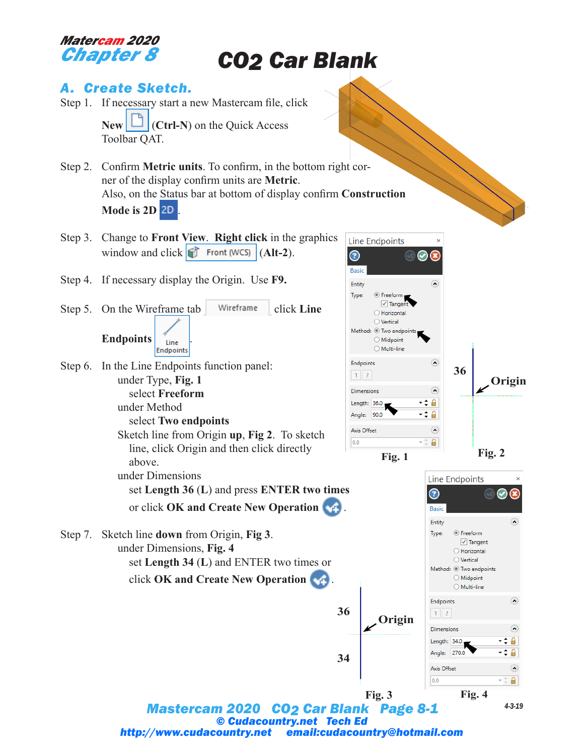## *Matercam 2020 Chapter 8*

# *CO2 Car Blank*

# *A. Create Sketch.*

- Step 1. If necessary start a new Mastercam file, click  $\mathbb{N}$ **ew**  $\Box$  (Ctrl-N) on the Quick Access Toolbar QAT.
- Step 2. Confirm **Metric units**. To confirm, in the bottom right corner of the display confirm units are **Metric**. Also, on the Status bar at bottom of display confirm **Construction Mode is 2D** .
- Step 3. Change to **Front View**. **Right click** in the graphics window and click  $\left| \int \right|$  Front (WCS) (Alt-2).
- Step 4. If necessary display the Origin. Use **F9.**
- Step 5. On the Wireframe tab Wireframe click Line **Endpoints**  $\left| \right|$   $\left| \right|$   $\left| \right|$ Endpoints
- Step 6. In the Line Endpoints function panel: under Type, **Fig. 1** select **Freeform** under Method

Step 7. Sketch line **down** from Origin, **Fig 3**. under Dimensions, **Fig. 4**



Sketch line from Origin **up**, **Fig 2**. To sketch line, click Origin and then click directly above.

under Dimensions set **Length 36** (**L**) and press **ENTER two times** or click **OK and Create New Operation** .

 set **Length 34** (**L**) and ENTER two times or click **OK and Create New Operation** .

 $\sqrt{ }$  Tanger O Horizontal  $\bigcirc$  Vertical Method: <sup>1</sup> Two endpoints  $\bigcirc$  Midpoint ○ Multi-line Endpoints  $\widehat{\cdot}$ **36**  $1 \quad 2$ **Origin**  $\odot$ Dimensions Length: 36.0 -≑ ∂ Angle: 90.0 -≑ A  $\odot$ Axis Offset  $\mathbf{a}$  $|0.0$ ⊤ ≑

 $\left( \bullet \right)$ 

**Line Endpoints** 

◎ Freeform

 $_{\textcircled{\scriptsize{2}}}$ 

**Basic** Entity

Type:

**Fig. 1 Fig. 2**

**Origin**

**36**

**34**



*Mastercam 2020 CO2 Car Blank Page 8-1* **Fig. 3 Fig. 4** *© Cudacountry.net Tech Ed http://www.cudacountry.net email:cudacountry@hotmail.com*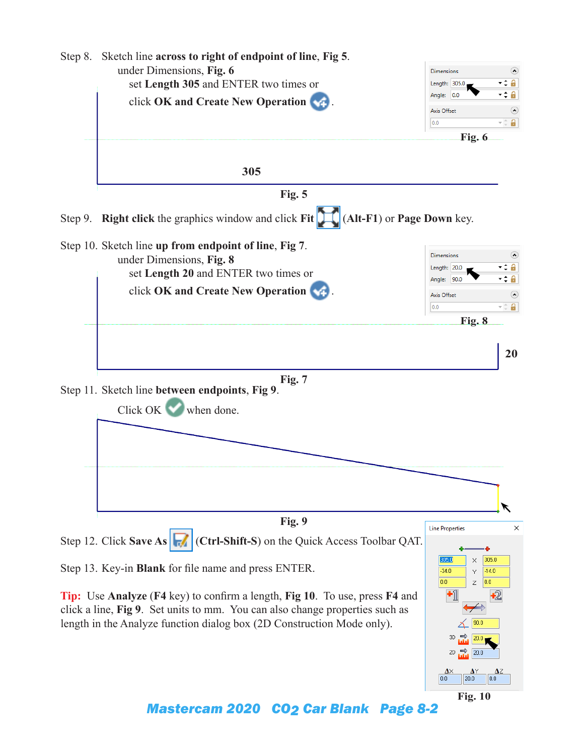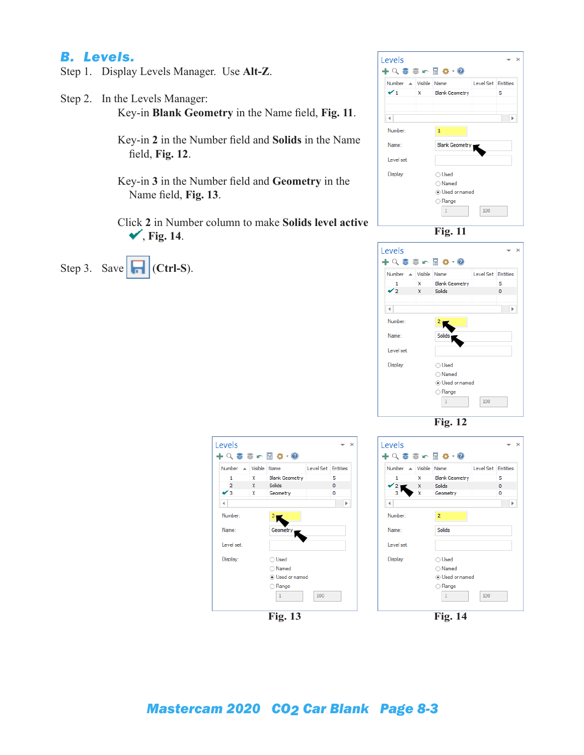#### *B. Levels.*

- Step 1. Display Levels Manager. Use **Alt-Z**.
- Step 2. In the Levels Manager: Key-in **Blank Geometry** in the Name field, **Fig. 11**.

Key-in **2** in the Number field and **Solids** in the Name field, **Fig. 12**.

- Key-in **3** in the Number field and **Geometry** in the Name field, **Fig. 13**.
- Click **2** in Number column to make **Solids level active** , **Fig. 14**.

Step 3. Save  $\left|\left|\right|$  (Ctrl-S).







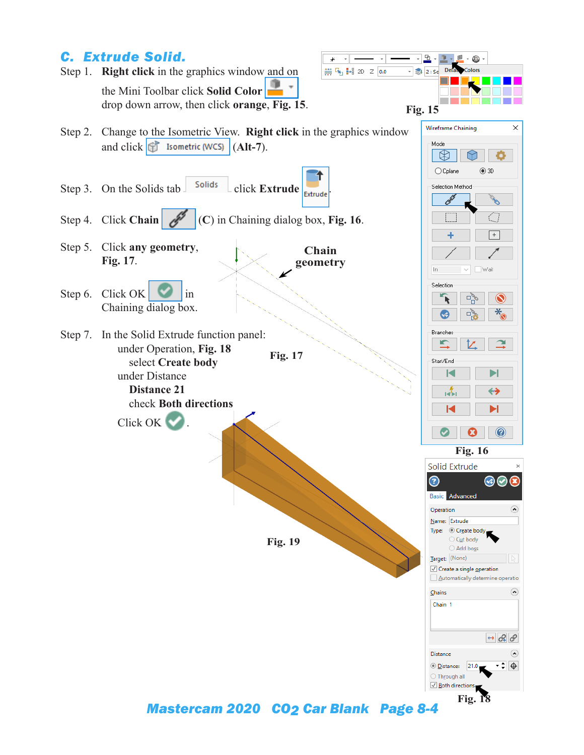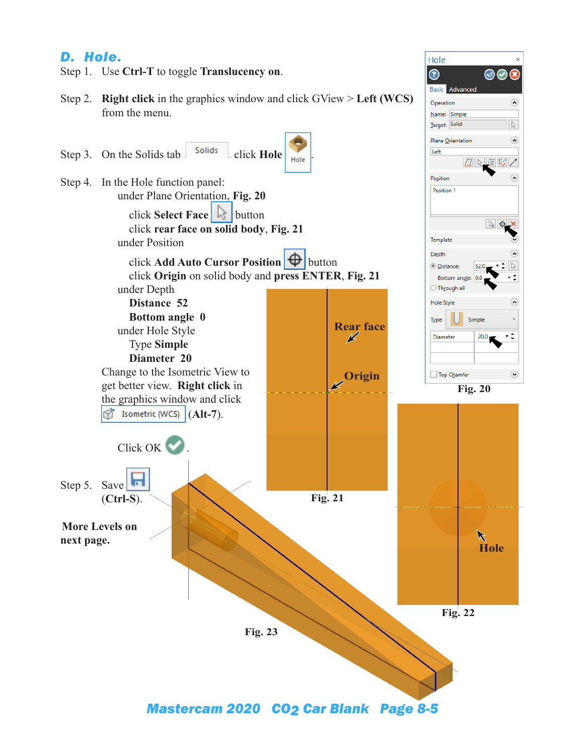## *D. Hole.*



 $\Omega$ 

 $\sqrt{2}$ 

 $\Omega$ 

 $\Omega$ 

 $\triangleright$ 

¢

 $\Omega$ 

۰÷

 $\odot$ 

*Mastercam 2020 CO2 Car Blank Page 8-5*

**Fig. 23**